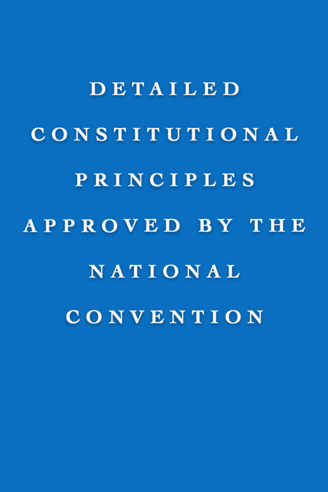DETAILED CONSTITUTIONAL PRINCIPLES APPROVED BY THE NATIONAL CONVENTION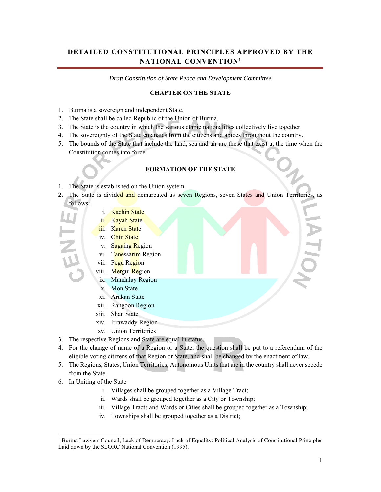# **DETAILED CONSTITUTIONAL PRINCIPLES APPROVED BY THE NATIONAL CONVENTION1**

*Draft Constitution of State Peace and Development Committee* 

## **CHAPTER ON THE STATE**

- 1. Burma is a sovereign and independent State.
- 2. The State shall be called Republic of the Union of Burma.
- 3. The State is the country in which the various ethnic nationalities collectively live together.
- 4. The sovereignty of the State emanates from the citizens and abides throughout the country.
- 5. The bounds of the State that include the land, sea and air are those that exist at the time when the Constitution comes into force.

#### **FORMATION OF THE STATE**

- 1. The State is established on the Union system.
- 2. The State is divided and demarcated as seven Regions, seven States and Union Territories, as follows:
	- i. Kachin State
	- ii. Kayah State
	- iii. Karen State
	- iv. Chin State
	- v. Sagaing Region
	- vi. Tanessarim Region
	- vii. Pegu Region
	- viii. Mergui Region
	- ix. Mandalay Region
	- x. Mon State
	- xi. Arakan State
	- xii. Rangoon Region
	- xiii. Shan State
	- xiv. Irrawaddy Region
	- xv. Union Territories
- 3. The respective Regions and State are equal in status.
- 4. For the change of name of a Region or a State, the question shall be put to a referendum of the eligible voting citizens of that Region or State, and shall be changed by the enactment of law.
- 5. The Regions, States, Union Territories, Autonomous Units that are in the country shall never secede from the State.
- 6. In Uniting of the State

l

- i. Villages shall be grouped together as a Village Tract;
- ii. Wards shall be grouped together as a City or Township;
- iii. Village Tracts and Wards or Cities shall be grouped together as a Township;
- iv. Townships shall be grouped together as a District;

<sup>&</sup>lt;sup>1</sup> Burma Lawyers Council, Lack of Democracy, Lack of Equality: Political Analysis of Constitutional Principles Laid down by the SLORC National Convention (1995).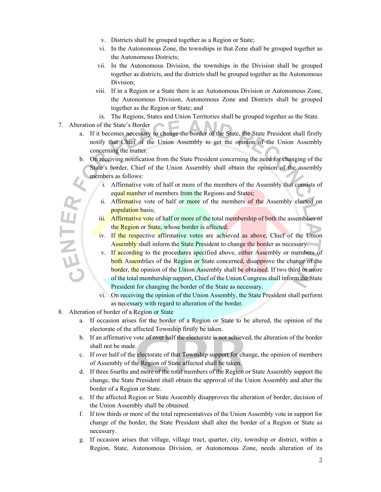- v. Districts shall be grouped together as a Region or State;
- vi. In the Autonomous Zone, the townships in that Zone shall be grouped together as the Autonomous Districts;
- vii. In the Autonomous Division, the townships in the Division shall be grouped together as districts, and the districts shall be grouped together as the Autonomous Division;
- viii. If in a Region or a State there is an Autonomous Division or Autonomous Zone, the Autonomous Division, Autonomous Zone and Districts shall be grouped together as the Region or State; and
- ix. The Regions, States and Union Territories shall be grouped together as the State.
- 7. Alteration of the State's Border
	- a. If it becomes necessary to change the border of the State, the State President shall firstly notify that Chief of the Union Assembly to get the opinion of the Union Assembly concerning the matter.
	- b. On receiving notification from the State President concerning the need for changing of the State's border, Chief of the Union Assembly shall obtain the opinion of the assembly members as follows:
		- i. Affirmative vote of half or more of the members of the Assembly that consists of equal number of members from the Regions and States;
		- ii. Affirmative vote of half or more of the members of the Assembly elected on population basis;
		- iii. Affirmative vote of half or more of the total membership of both the assemblies of the Region or State, whose border is affected.
		- iv. If the respective affirmative votes are achieved as above, Chief of the Union Assembly shall inform the State President to change the border as necessary.
		- v. If according to the procedures specified above, either Assembly or members of both Assemblies of the Region or State concerned, disapprove the change of the border, the opinion of the Union Assembly shall be obtained. If two third or more of the total membership support, Chief of the Union Congress shall inform the State President for changing the border of the State as necessary.
		- vi. On receiving the opinion of the Union Assembly, the State President shall perform as necessary with regard to alteration of the border.
- 8. Alteration of border of a Region or State

**JENTEY** 

- a. If occasion arises for the border of a Region or State to be altered, the opinion of the electorate of the affected Township firstly be taken.
- b. If an affirmative vote of over half the electorate is not achieved, the alteration of the border shall not be made.
- c. If over half of the electorate of that Township support for change, the opinion of members of Assembly of the Region of State affected shall be taken.
- d. If three fourths and more of the total members of the Region or State Assembly support the change, the State President shall obtain the approval of the Union Assembly and alter the border of a Region or State.
- e. If the affected Region or State Assembly disapproves the alteration of border, decision of the Union Assembly shall be obtained.
- f. If tow thirds or more of the total representatives of the Union Assembly vote in support for change of the border, the State President shall alter the border of a Region or State as necessary.
- g. If occasion arises that village, village tract, quarter, city, township or district, within a Region, State, Autonomous Division, or Autonomous Zone, needs alteration of its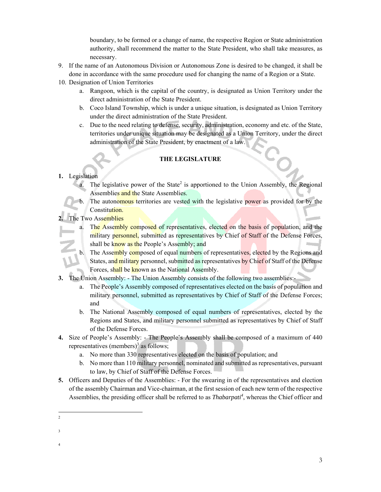boundary, to be formed or a change of name, the respective Region or State administration authority, shall recommend the matter to the State President, who shall take measures, as necessary.

- 9. If the name of an Autonomous Division or Autonomous Zone is desired to be changed, it shall be done in accordance with the same procedure used for changing the name of a Region or a State.
- 10. Designation of Union Territories
	- a. Rangoon, which is the capital of the country, is designated as Union Territory under the direct administration of the State President.
	- b. Coco Island Township, which is under a unique situation, is designated as Union Territory under the direct administration of the State President.
	- c. Due to the need relating to defense, security, administration, economy and etc. of the State, territories under unique situation may be designated as a Union Territory, under the direct administration of the State President, by enactment of a law.

## **THE LEGISLATURE**

### **1.** Legislation

- a. The legislative power of the State<sup>2</sup> is apportioned to the Union Assembly, the Regional Assemblies and the State Assemblies.
- The autonomous territories are vested with the legislative power as provided for by the Constitution.

# The Two Assemblies

- a. The Assembly composed of representatives, elected on the basis of population, and the military personnel, submitted as representatives by Chief of Staff of the Defense Forces, shall be know as the People's Assembly; and
- b. The Assembly composed of equal numbers of representatives, elected by the Regions and States, and military personnel, submitted as representatives by Chief of Staff of the Defense Forces, shall be known as the National Assembly.
- **3.** The Union Assembly: The Union Assembly consists of the following two assemblies:
	- a. The People's Assembly composed of representatives elected on the basis of population and military personnel, submitted as representatives by Chief of Staff of the Defense Forces; and
	- b. The National Assembly composed of equal numbers of representatives, elected by the Regions and States, and military personnel submitted as representatives by Chief of Staff of the Defense Forces.
- **4.** Size of People's Assembly: The People's Assembly shall be composed of a maximum of 440 representatives (members)<sup>3</sup> as follows;
	- a. No more than 330 representatives elected on the basis of population; and
	- b. No more than 110 military personnel, nominated and submitted as representatives, pursuant to law, by Chief of Staff of the Defense Forces.
- **5.** Officers and Deputies of the Assemblies: For the swearing in of the representatives and election of the assembly Chairman and Vice-chairman, at the first session of each new term of the respective Assemblies, the presiding officer shall be referred to as *Thabarpati<sup>4</sup>* , whereas the Chief officer and

- 
- 3
- 4

 $\frac{1}{2}$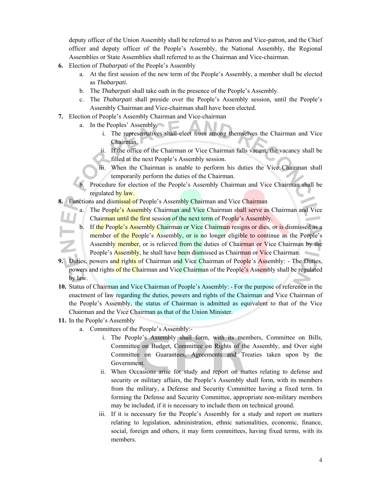deputy officer of the Union Assembly shall be referred to as Patron and Vice-patron, and the Chief officer and deputy officer of the People's Assembly, the National Assembly, the Regional Assemblies or State Assemblies shall referred to as the Chairman and Vice-chairman.

- **6.** Election of *Thabarpati* of the People's Assembly
	- a. At the first session of the new term of the People's Assembly, a member shall be elected as *Thabarpati.*
	- b. The *Thabarpati* shall take oath in the presence of the People's Assembly.
	- c. The *Thabarpati* shall preside over the People's Assembly session, until the People's Assembly Chairman and Vice-chairman shall have been elected.
- **7.** Election of People's Assembly Chairman and Vice-chairman
	- a. In the Peoples' Assembly,
		- i. The representatives shall elect from among themselves the Chairman and Vice Chairman.
		- ii. If the office of the Chairman or Vice Chairman falls vacant, the vacancy shall be filled at the next People's Assembly session.
		- iii. When the Chairman is unable to perform his duties the Vice Chairman shall temporarily perform the duties of the Chairman.
	- b. Procedure for election of the People's Assembly Chairman and Vice Chairman shall be regulated by law.
- **8.** Functions and dismissal of People's Assembly Chairman and Vice Chairman
	- a. The People's Assembly Chairman and Vice Chairman shall serve as Chairman and Vice Chairman until the first session of the next term of People's Assembly.
	- b. If the People's Assembly Chairman or Vice Chairman resigns or dies, or is dismissed as a member of the People's Assembly, or is no longer eligible to continue as the People's Assembly member, or is relieved from the duties of Chairman or Vice Chairman by the People's **Assembly**, he shall have been dismissed as Chairman or Vice Chairman.
- **9.** Duties, powers and rights of Chairman and Vice Chairman of People's Assembly: The Duties, powers and rights of the Chairman and Vice Chairman of the People's Assembly shall be regulated by law.
- **10.** Status of Chairman and Vice Chairman of People's Assembly: For the purpose of reference in the enactment of law regarding the duties, powers and rights of the Chairman and Vice Chairman of the People's Assembly, the status of Chairman is admitted as equivalent to that of the Vice Chairman and the Vice Chairman as that of the Union Minister.
- **11.** In the People's Assembly
	- a. Committees of the People's Assembly:
		- i. The People's Assembly shall form, with its members, Committee on Bills, Committee on Budget, Committee on Rights of the Assembly, and Over sight Committee on Guarantees, Agreements and Treaties taken upon by the Government.
		- ii. When Occasions arise for study and report on mattes relating to defense and security or military affairs, the People's Assembly shall form, with its members from the military, a Defense and Security Committee having a fixed term. In forming the Defense and Security Committee, appropriate non-military members may be included, if it is necessary to include them on technical ground.
		- iii. If it is necessary for the People's Assembly for a study and report on matters relating to legislation, administration, ethnic nationalities, economic, finance, social, foreign and others, it may form committees, having fixed terms, with its members.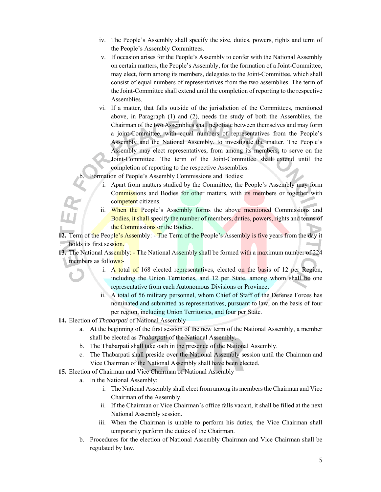- iv. The People's Assembly shall specify the size, duties, powers, rights and term of the People's Assembly Committees.
- v. If occasion arises for the People's Assembly to confer with the National Assembly on certain matters, the People's Assembly, for the formation of a Joint-Committee, may elect, form among its members, delegates to the Joint-Committee, which shall consist of equal numbers of representatives from the two assemblies. The term of the Joint-Committee shall extend until the completion of reporting to the respective Assemblies.
- vi. If a matter, that falls outside of the jurisdiction of the Committees, mentioned above, in Paragraph (1) and (2), needs the study of both the Assemblies, the Chairman of the two Assemblies shall negotiate between themselves and may form a joint-Committee, with equal numbers of representatives from the People's Assembly and the National Assembly, to investigate the matter. The People's Assembly may elect representatives, from among its members, to serve on the Joint-Committee. The term of the Joint-Committee shall extend until the completion of reporting to the respective Assemblies.

Formation of People's Assembly Commissions and Bodies:

- i. Apart from matters studied by the Committee, the People's Assembly may form Commissions and Bodies for other matters, with its members or together with competent citizens.
- ii. When the People's Assembly forms the above mentioned Commissions and Bodies, it shall specify the number of members, duties, powers, rights and terms of the Commissions or the Bodies.

**12.** Term of the People's Assembly: - The Term of the People's Assembly is five years from the day it holds its first session.

- **13.** The National Assembly: The National Assembly shall be formed with a maximum number of 224 members as follows:
	- i. A total of 168 elected representatives, elected on the basis of 12 per Region, including the Union Territories, and 12 per State, among whom shall be one representative from each Autonomous Divisions or Province;
	- ii. A total of 56 military personnel, whom Chief of Staff of the Defense Forces has nominated and submitted as representatives, pursuant to law, on the basis of four per region, including Union Territories, and four per State.
- **14.** Election of *Thabarpati* of National Assembly
	- a. At the beginning of the first session of the new term of the National Assembly, a member shall be elected as *Thabarpati* of the National Assembly.
	- b. The Thabarpati shall take oath in the presence of the National Assembly.
	- c. The Thabarpati shall preside over the National Assembly session until the Chairman and Vice Chairman of the National Assembly shall have been elected.
- **15.** Election of Chairman and Vice Chairman of National Assembly
	- a. In the National Assembly:
		- i. The National Assembly shall elect from among its members the Chairman and Vice Chairman of the Assembly.
		- ii. If the Chairman or Vice Chairman's office falls vacant, it shall be filled at the next National Assembly session.
		- iii. When the Chairman is unable to perform his duties, the Vice Chairman shall temporarily perform the duties of the Chairman.
	- b. Procedures for the election of National Assembly Chairman and Vice Chairman shall be regulated by law.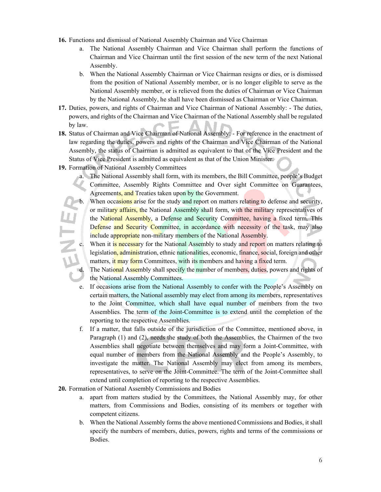- **16.** Functions and dismissal of National Assembly Chairman and Vice Chairman
	- a. The National Assembly Chairman and Vice Chairman shall perform the functions of Chairman and Vice Chairman until the first session of the new term of the next National Assembly.
	- b. When the National Assembly Chairman or Vice Chairman resigns or dies, or is dismissed from the position of National Assembly member, or is no longer eligible to serve as the National Assembly member, or is relieved from the duties of Chairman or Vice Chairman by the National Assembly, he shall have been dismissed as Chairman or Vice Chairman.
- **17.** Duties, powers, and rights of Chairman and Vice Chairman of National Assembly: The duties, powers, and rights of the Chairman and Vice Chairman of the National Assembly shall be regulated by law.
- **18.** Status of Chairman and Vice Chairman of National Assembly: For reference in the enactment of law regarding the duties, powers and rights of the Chairman and Vice Chairman of the National Assembly, the status of Chairman is admitted as equivalent to that of the Vice President and the Status of Vice President is admitted as equivalent as that of the Union Minister.
- **19.** Formation of National Assembly Committees
	- a. The National Assembly shall form, with its members, the Bill Committee, people's Budget Committee, Assembly Rights Committee and Over sight Committee on Guarantees, Agreements, and Treaties taken upon by the Government.
	- b. When occasions arise for the study and report on matters relating to defense and security, or military affairs, the National Assembly shall form, with the military representatives of the National Assembly, a Defense and Security Committee, having a fixed term. This Defense and Security Committee, in accordance with necessity of the task, may also include appropriate non-military members of the National Assembly.
		- When it is necessary for the National Assembly to study and report on matters relating to legislation, administration, ethnic nationalities, economic, finance, social, foreign and other matters, it may form Committees, with its members and having a fixed term.

d. The National Assembly shall specify the number of members, duties, powers and rights of the National Assembly Committees.

- e. If occasions arise from the National Assembly to confer with the People's Assembly on certain matters, the National assembly may elect from among its members, representatives to the Joint Committee, which shall have equal number of members from the two Assemblies. The term of the Joint-Committee is to extend until the completion of the reporting to the respective Assemblies.
- f. If a matter, that falls outside of the jurisdiction of the Committee, mentioned above, in Paragraph (1) and (2), needs the study of both the Assemblies, the Chairmen of the two Assemblies shall negotiate between themselves and may form a Joint-Committee, with equal number of members from the National Assembly and the People's Assembly, to investigate the matter. The National Assembly may elect from among its members, representatives, to serve on the Joint-Committee. The term of the Joint-Committee shall extend until completion of reporting to the respective Assemblies.
- **20.** Formation of National Assembly Commissions and Bodies
	- a. apart from matters studied by the Committees, the National Assembly may, for other matters, from Commissions and Bodies, consisting of its members or together with competent citizens.
	- b. When the National Assembly forms the above mentioned Commissions and Bodies, it shall specify the numbers of members, duties, powers, rights and terms of the commissions or Bodies.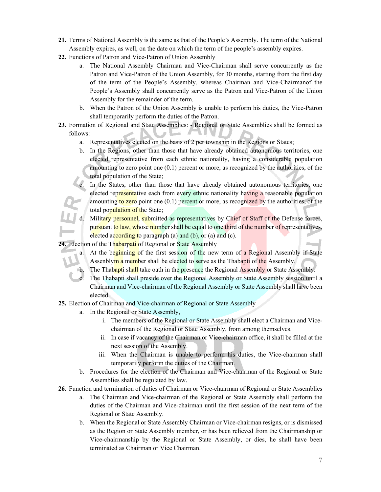- **21.** Terms of National Assembly is the same as that of the People's Assembly. The term of the National Assembly expires, as well, on the date on which the term of the people's assembly expires.
- **22.** Functions of Patron and Vice-Patron of Union Assembly
	- a. The National Assembly Chairman and Vice-Chairman shall serve concurrently as the Patron and Vice-Patron of the Union Assembly, for 30 months, starting from the first day of the term of the People's Assembly, whereas Chairman and Vice-Chairmanof the People's Assembly shall concurrently serve as the Patron and Vice-Patron of the Union Assembly for the remainder of the term.
	- b. When the Patron of the Union Assembly is unable to perform his duties, the Vice-Patron shall temporarily perform the duties of the Patron.
- **23.** Formation of Regional and State Assemblies: Regional or State Assemblies shall be formed as follows:
	- a. Representatives elected on the basis of 2 per township in the Regions or States;
	- b. In the Regions, other than those that have already obtained autonomous territories, one elected representative from each ethnic nationality, having a considerable population amounting to zero point one (0.1) percent or more, as recognized by the authorities, of the total population of the State;

In the States, other than those that have already obtained autonomous territories, one elected representative each from every ethnic nationality having a reasonable population amounting to zero point one  $(0.1)$  percent or more, as recognized by the authorities, of the total population of the State;

d. Military personnel, submitted as representatives by Chief of Staff of the Defense forces, pursuant to law, whose number shall be equal to one third of the number of representatives, elected according to paragraph  $(a)$  and  $(b)$ , or  $(a)$  and  $(c)$ .

24. Election of the Thabarpati of Regional or State Assembly

- a. At the beginning of the first session of the new term of a Regional Assembly if State Assenblym a member shall be elected to serve as the Thabapti of the Assembly.
	- The Thabapti shall take oath in the presence the Regional Assembly or State Assembly.

The Thabapti shall preside over the Regional Assembly or State Assembly session until a Chairman and Vice-chairman of the Regional Assembly or State Assembly shall have been elected.

**25.** Election of Chairman and Vice-chairman of Regional or State Assembly

- a. In the Regional or State Assembly,
	- i. The members of the Regional or State Assembly shall elect a Chairman and Vicechairman of the Regional or State Assembly, from among themselves.
	- ii. In case if vacancy of the Chairman or Vice-chairman office, it shall be filled at the next session of the Assembly.
	- iii. When the Chairman is unable to perform his duties, the Vice-chairman shall temporarily perform the duties of the Chairman.
- b. Procedures for the election of the Chairman and Vice-chairman of the Regional or State Assemblies shall be regulated by law.

**26.** Function and termination of duties of Chairman or Vice-chairman of Regional or State Assemblies

- a. The Chairman and Vice-chairman of the Regional or State Assembly shall perform the duties of the Chairman and Vice-chairman until the first session of the next term of the Regional or State Assembly.
- b. When the Regional or State Assembly Chairman or Vice-chairman resigns, or is dismissed as the Region or State Assembly member, or has been relieved from the Chairmanship or Vice-chairmanship by the Regional or State Assembly, or dies, he shall have been terminated as Chairman or Vice Chairman.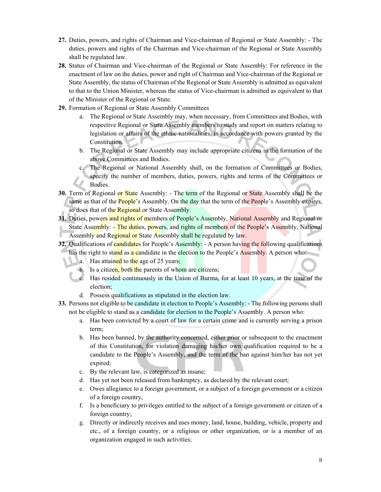- **27.** Duties, powers, and rights of Chairman and Vice-chairman of Regional or State Assembly: The duties, powers and rights of the Chairman and Vice-chairman of the Regional or State Assembly shall be regulated law.
- **28.** Status of Chairman and Vice-chairman of the Regional or State Assembly: For reference in the enactment of law on the duties, power and right of Chairman and Vice-chairman of the Regional or State Assembly, the status of Chairman of the Regional or State Assembly is admitted as equivalent to that to the Union Minister, whereas the status of Vice-chairman is admitted as equivalent to that of the Minister of the Regional or State.
- **29.** Formation of Regional or State Assembly Committees
	- a. The Regional or State Assembly may, when necessary, from Committees and Bodies, with respective Regional or State Assembly members to study and report on matters relating to legislation or affairs of the ethnic nationalities, in accordance with powers granted by the Constitution.
	- b. The Regional or State Assembly may include appropriate citizens in the formation of the above Committees and Bodies.
	- The Regional or National Assembly shall, on the formation of Committees or Bodies, specify the number of members, duties, powers, rights and terms of the Committees or Bodies.
- **30.** Term of Regional or State Assembly: The term of the Regional or State Assembly shall be the same as that of the **People'**s Assembly. On the day that the term of the **People's** Assembly expires, so does that of the Regional or State Assembly.
- 31. Duties, powers and rights of members of People's Assembly, National Assembly and Regional or State Assembly: - The duties, powers, and rights of members of the People's Assembly, National Assembly and Regional or State Assembly shall be regulated by law.
- **32.** Qualifications of candidates for People's Assembly: A person having the following qualifications
	- has the right to stand as a candidate in the election to the People's Assembly. A person who:
		- a. Has attained to the age of 25 years;
		- **b.** Is a citizen, both the parents of whom are citizens;
		- c. Has resided continuously in the Union of Burma, for at least 10 years, at the time of the election;
		- d. Possess qualifications as stipulated in the election law.
- **33.** Persons not eligible to be candidate in election to People's Assembly: The following persons shall not be eligible to stand as a candidate for election to the People's Assembly. A person who:
	- a. Has been convicted by a court of law for a certain crime and is currently serving a prison term;
	- b. Has been banned, by the authority concerned, either prior or subsequent to the enactment of this Constitution, for violation damaging his/her own qualification required to be a candidate to the People's Assembly, and the term of the ban against him/her has not yet expired;
	- c. By the relevant law, is categorized as insane;
	- d. Has yet not been released from bankruptcy, as declared by the relevant court;
	- e. Owes allegiance to a foreign government, or a subject of a foreign government or a citizen of a foreign country,
	- f. Is a beneficiary to privileges entitled to the subject of a foreign government or citizen of a foreign country;
	- g. Directly or indirectly receives and uses money, land, house, building, vehicle, property and etc., of a foreign country, or a religious or other organization, or is a member of an organization engaged in such activities;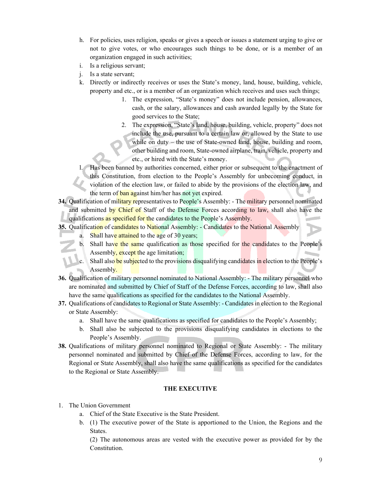- h. For policies, uses religion, speaks or gives a speech or issues a statement urging to give or not to give votes, or who encourages such things to be done, or is a member of an organization engaged in such activities;
- i. Is a religious servant;
- j. Is a state servant;
- k. Directly or indirectly receives or uses the State's money, land, house, building, vehicle, property and etc., or is a member of an organization which receives and uses such things;
	- 1. The expression, "State's money" does not include pension, allowances, cash, or the salary, allowances and cash awarded legally by the State for good services to the State;
	- 2. The expression, "State's land, house, building, vehicle, property" does not include the use, pursuant to a certain law or, allowed by the State to use while on duty – the use of State-owned land, house, building and room, other building and room, State-owned airplane, train, vehicle, property and etc., or hired with the State's money.

Has been banned by authorities concerned, either prior or subsequent to the enactment of this Constitution, from election to the People's Assembly for unbecoming conduct, in violation of the election law, or failed to abide by the provisions of the election law, and the term of ban against him/her has not yet expired.

**34.** Qualification of military representatives to People's Assembly: - The military personnel nominated and submitted by Chief of Staff of the Defense Forces according to law, shall also have the qualifications as specified for the candidates to the People's Assembly.

**35.** Qualification of candidates to National Assembly: - Candidates to the National Assembly

- a. Shall have attained to the age of 30 years;
- b. Shall have the same qualification as those specified for the candidates to the People's Assembly, except the age limitation;
- c. Shall also be subjected to the provisions disqualifying candidates in election to the People's Assembly.
- **36.** Qualification of military personnel nominated to National Assembly: The military personnel who are nominated and submitted by Chief of Staff of the Defense Forces, according to law, shall also have the same qualifications as specified for the candidates to the National Assembly.
- **37.** Qualifications of candidates to Regional or State Assembly: Candidates in election to the Regional or State Assembly:
	- a. Shall have the same qualifications as specified for candidates to the People's Assembly;
	- b. Shall also be subjected to the provisions disqualifying candidates in elections to the People's Assembly.
- **38.** Qualifications of military personnel nominated to Regional or State Assembly: The military personnel nominated and submitted by Chief of the Defense Forces, according to law, for the Regional or State Assembly, shall also have the same qualifications as specified for the candidates to the Regional or State Assembly.

#### **THE EXECUTIVE**

- 1. The Union Government
	- a. Chief of the State Executive is the State President.
	- b. (1) The executive power of the State is apportioned to the Union, the Regions and the States.

(2) The autonomous areas are vested with the executive power as provided for by the Constitution.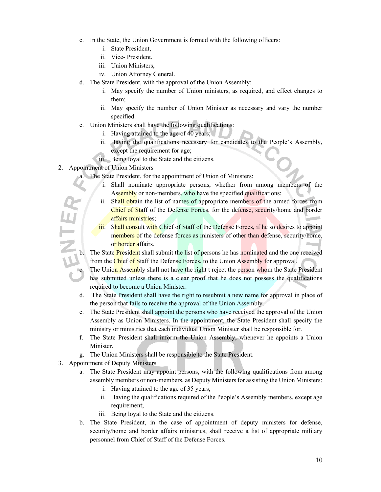- c. In the State, the Union Government is formed with the following officers:
	- i. State President,
	- ii. Vice- President,
	- iii. Union Ministers,
	- iv. Union Attorney General.
- d. The State President, with the approval of the Union Assembly:
	- i. May specify the number of Union ministers, as required, and effect changes to them;
	- ii. May specify the number of Union Minister as necessary and vary the number specified.
- e. Union Ministers shall have the following qualifications:
	- i. Having attained to the age of 40 years;
	- ii. Having the qualifications necessary for candidates to the People's Assembly, except the requirement for age;
	- iii. Being loyal to the State and the citizens.
- 2. Appointment of Union Ministers
	- a. The State President, for the appointment of Union of Ministers:
		- i. Shall nominate appropriate persons, whether from among members of the Assembly or non-members, who have the specified qualifications;
		- ii. Shall obtain the list of names of appropriate members of the armed forces from Chief of Staff of the Defense Forces, for the defense, security/home and border affairs ministries;
		- iii. Shall consult with Chief of Staff of the Defense Forces, if he so desires to appoint members of the defense forces as ministers of other than defense, security/home, or border affairs.
	- The State President shall submit the list of persons he has nominated and the one received from the Chief of Staff the Defense Forces, to the Union Assembly for approval.
		- The Union Assembly shall not have the right t reject the person whom the State President has submitted unless there is a clear proof that he does not possess the qualifications required to become a Union Minister.
	- d. The State President shall have the right to resubmit a new name for approval in place of the person that fails to receive the approval of the Union Assembly.
	- e. The State President shall appoint the persons who have received the approval of the Union Assembly as Union Ministers. In the appointment, the State President shall specify the ministry or ministries that each individual Union Minister shall be responsible for.
	- f. The State President shall inform the Union Assembly, whenever he appoints a Union Minister.
	- g. The Union Ministers shall be responsible to the State President.
- 3. Appointment of Deputy Ministers
	- a. The State President may appoint persons, with the following qualifications from among assembly members or non-members, as Deputy Ministers for assisting the Union Ministers:
		- i. Having attained to the age of 35 years,
		- ii. Having the qualifications required of the People's Assembly members, except age requirement;
		- iii. Being loyal to the State and the citizens.
	- b. The State President, in the case of appointment of deputy ministers for defense, security/home and border affairs ministries, shall receive a list of appropriate military personnel from Chief of Staff of the Defense Forces.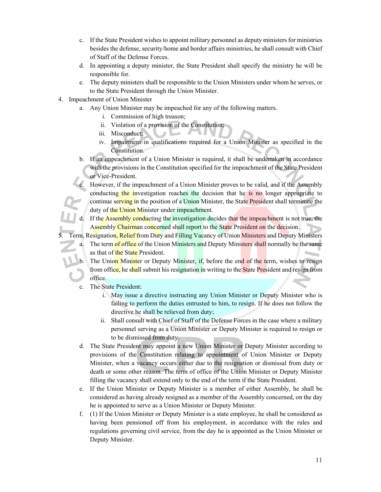- c. If the State President wishes to appoint military personnel as deputy ministers for ministries besides the defense, security/home and border affairs ministries, he shall consult with Chief of Staff of the Defense Forces.
- d. In appointing a deputy minister, the State President shall specify the ministry he will be responsible for.
- e. The deputy ministers shall be responsible to the Union Ministers under whom he serves, or to the State President through the Union Minister.
- 4. Impeachment of Union Minister
	- a. Any Union Minister may be impeached for any of the following matters.
		- i. Commission of high treason;
		- ii. Violation of a provision of the Constitution;
		- iii. Misconduct;
		- iv. Impairment in qualifications required for a Union Minister as specified in the Constitution.
	- b. If an impeachment of a Union Minister is required, it shall be undertaken in accordance with the provisions in the Constitution specified for the impeachment of the State President or Vice-President.

However, if the impeachment of a Union Minister proves to be valid, and if the Assembly conducting the investigation reaches the decision that he is no longer appropriate to continue serving in the position of a Union Minister, the State President shall terminate the duty of the Union Minister under impeachment.

d. If the **Assembly conducting the investigation decides that the impeachment is not true**, the Assembly Chairman concerned shall report to the State President on the decision.

Term, Resignation, Relief from Duty and Filling Vacancy of Union Ministers and Deputy Ministers

- a. The term of office of the Union Ministers and Deputy Ministers shall normally be the same as that of the State President.
	- The Union Minister or Deputy Minister, if, before the end of the term, wishes to resign from office, he shall submit his resignation in writing to the State President and resign from office.
- c. The State President:
	- i. May issue a directive instructing any Union Minister or Deputy Minister who is failing to perform the duties entrusted to him, to resign. If he does not follow the directive he shall be relieved from duty;
	- ii. Shall consult with Chief of Staff of the Defense Forces in the case where a military personnel serving as a Union Minister or Deputy Minister is required to resign or to be dismissed from duty.
- d. The State President may appoint a new Union Minister or Deputy Minister according to provisions of the Constitution relating to appointment of Union Minister or Deputy Minister, when a vacancy occurs either due to the resignation or dismissal from duty or death or some other reason. The term of office of the Union Minister or Deputy Minister filling the vacancy shall extend only to the end of the term if the State President.
- e. If the Union Minister or Deputy Minister is a member of either Assembly, he shall be considered as having already resigned as a member of the Assembly concerned, on the day he is appointed to serve as a Union Minister or Deputy Minister.
- f. (1) If the Union Minister or Deputy Minister is a state employee, he shall be considered as having been pensioned off from his employment, in accordance with the rules and regulations governing civil service, from the day he is appointed as the Union Minister or Deputy Minister.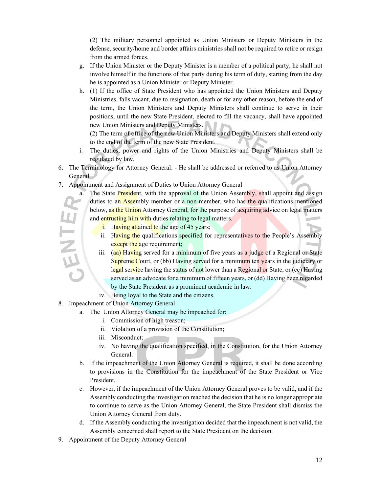(2) The military personnel appointed as Union Ministers or Deputy Ministers in the defense, security/home and border affairs ministries shall not be required to retire or resign from the armed forces.

- g. If the Union Minister or the Deputy Minister is a member of a political party, he shall not involve himself in the functions of that party during his term of duty, starting from the day he is appointed as a Union Minister or Deputy Minister.
- h. (1) If the office of State President who has appointed the Union Ministers and Deputy Ministries, falls vacant, due to resignation, death or for any other reason, before the end of the term, the Union Ministers and Deputy Ministers shall continue to serve in their positions, until the new State President, elected to fill the vacancy, shall have appointed new Union Ministers and Deputy Ministers.

(2) The term of office of the new Union Ministers and Deputy Ministers shall extend only to the end of the term of the new State President.

- i. The duties, power and rights of the Union Ministries and Deputy Ministers shall be regulated by law.
- 6. The Terminology for Attorney General: He shall be addressed or referred to as Union Attorney General.
- 7. Appointment and Assignment of Duties to Union Attorney General
	- a. The State President, with the approval of the Union Assembly, shall appoint and assign duties to an Assembly member or a non-member, who has the qualifications mentioned below, as the Union Attorney General, for the purpose of acquiring advice on legal matters and entrusting him with duties relating to legal matters.
		- i. Having attained to the age of 45 years;
		- ii. Having the qualifications specified for representatives to the People's Assembly except the age requirement;
		- iii. (aa) Having served for a minimum of five years as a judge of a Regional or State Supreme Court, or (bb) Having served for a minimum ten years in the judiciary or legal service having the status of not lower than a Regional or State, or (cc) Having served as an advocate for a minimum of fifteen years, or (dd) Having been regarded by the State President as a prominent academic in law.
		- iv. Being loyal to the State and the citizens.
- 8. Impeachment of Union Attorney General

ENTE

- a. The Union Attorney General may be impeached for:
	- i. Commission of high treason;
	- ii. Violation of a provision of the Constitution;
	- iii. Misconduct;
	- iv. No having the qualification specified, in the Constitution, for the Union Attorney General.
- b. If the impeachment of the Union Attorney General is required, it shall be done according to provisions in the Constitution for the impeachment of the State President or Vice President.
- c. However, if the impeachment of the Union Attorney General proves to be valid, and if the Assembly conducting the investigation reached the decision that he is no longer appropriate to continue to serve as the Union Attorney General, the State President shall dismiss the Union Attorney General from duty.
- d. If the Assembly conducting the investigation decided that the impeachment is not valid, the Assembly concerned shall report to the State President on the decision.
- 9. Appointment of the Deputy Attorney General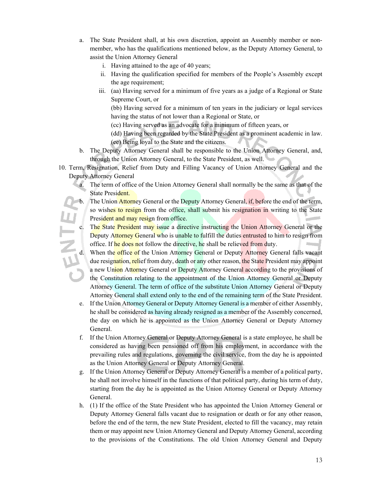- a. The State President shall, at his own discretion, appoint an Assembly member or nonmember, who has the qualifications mentioned below, as the Deputy Attorney General, to assist the Union Attorney General
	- i. Having attained to the age of 40 years;
	- ii. Having the qualification specified for members of the People's Assembly except the age requirement;
	- iii. (aa) Having served for a minimum of five years as a judge of a Regional or State Supreme Court, or

(bb) Having served for a minimum of ten years in the judiciary or legal services having the status of not lower than a Regional or State, or

(cc) Having served as an advocate for a minimum of fifteen years, or

- (dd) Having been regarded by the State President as a prominent academic in law.
- (ee) Being loyal to the State and the citizens.
- b. The Deputy Attorney General shall be responsible to the Union Attorney General, and, through the Union Attorney General, to the State President, as well.
- 10. Term, Resignation, Relief from Duty and Filling Vacancy of Union Attorney General and the Deputy Attorney General
	- a. The term of office of the Union Attorney General shall normally be the same as that of the State President.
	- The Union Attorney General or the Deputy Attorney General, if, before the end of the term, so wishes to resign from the office, shall submit his resignation in writing to the State President and may resign from office.
	- c. The State President may issue a directive instructing the Union Attorney General or the office. If he does not follow the directive, he shall be relieved from duty.
- Deputy Attorney General who is unable to fulfill the duties entrusted to him to resign from<br>office. If he does not follow the directive, he shall be relieved from duty.<br>d. When the office of the Union Attorney General or D When the office of the Union Attorney General or Deputy Attorney General falls vacant due resignation, relief from duty, death or any other reason, the State President may appoint a new Union Attorney General or Deputy Attorney General according to the provisions of the Constitution relating to the appointment of the Union Attorney General or Deputy Attorney General. The term of office of the substitute Union Attorney General or Deputy Attorney General shall extend only to the end of the remaining term of the State President.
	- e. If the Union Attorney General or Deputy Attorney General is a member of either Assembly, he shall be considered as having already resigned as a member of the Assembly concerned, the day on which he is appointed as the Union Attorney General or Deputy Attorney General.
	- f. If the Union Attorney General or Deputy Attorney General is a state employee, he shall be considered as having been pensioned off from his employment, in accordance with the prevailing rules and regulations, governing the civil service, from the day he is appointed as the Union Attorney General or Deputy Attorney General.
	- g. If the Union Attorney General or Deputy Attorney General is a member of a political party, he shall not involve himself in the functions of that political party, during his term of duty, starting from the day he is appointed as the Union Attorney General or Deputy Attorney General.
	- h. (1) If the office of the State President who has appointed the Union Attorney General or Deputy Attorney General falls vacant due to resignation or death or for any other reason, before the end of the term, the new State President, elected to fill the vacancy, may retain them or may appoint new Union Attorney General and Deputy Attorney General, according to the provisions of the Constitutions. The old Union Attorney General and Deputy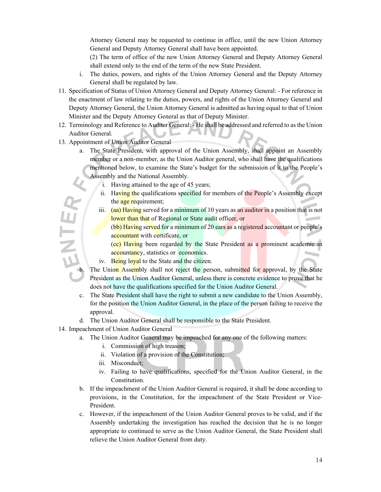Attorney General may be requested to continue in office, until the new Union Attorney General and Deputy Attorney General shall have been appointed.

(2) The term of office of the new Union Attorney General and Deputy Attorney General shall extend only to the end of the term of the new State President.

- i. The duties, powers, and rights of the Union Attorney General and the Deputy Attorney General shall be regulated by law.
- 11. Specification of Status of Union Attorney General and Deputy Attorney General: For reference in the enactment of law relating to the duties, powers, and rights of the Union Attorney General and Deputy Attorney General, the Union Attorney General is admitted as having equal to that of Union Minister and the Deputy Attorney General as that of Deputy Minister.
- 12. Terminology and Reference to Auditor General: He shall be addressed and referred to as the Union Auditor General.
- 13. Appointment of Union Auditor General
	- a. The State President, with approval of the Union Assembly, shall appoint an Assembly member or a non-member, as the Union Auditor general, who shall have the qualifications mentioned below, to examine the State's budget for the submission of it to the People's Assembly and the National Assembly.
		- i. Having attained to the age of 45 years;
		- ii. Having the qualifications specified for members of the People's Assembly except the age requirement;
- iii.  $(aa)$  Having served for a minimum of 10 years as an auditor in a position that is not lower than that of Regional or State audit officer, or b. The Union Assembly shall not reject the person, submitted for approval, by the State State Union Assembly shall not reject the person, submitted for approval, by the State State Union Assembly shall not reject the perso

(bb) Having served for a minimum of 20 ears as a registered accountant or people's accountant with certificate, or

(cc) Having been regarded by the State President as a prominent academic in accountancy, statistics or economics.

iv. Being loyal to the State and the citizen.

President as the Union Auditor General, unless there is concrete evidence to prove that he does not have the qualifications specified for the Union Auditor General.

- c. The State President shall have the right to submit a new candidate to the Union Assembly, for the position the Union Auditor General, in the place of the person failing to receive the approval.
- d. The Union Auditor General shall be responsible to the State President.
- 14. Impeachment of Union Auditor General
	- a. The Union Auditor General may be impeached for any one of the following matters:
		- i. Commission of high treason;
		- ii. Violation of a provision of the Constitution;
		- iii. Misconduct;
		- iv. Failing to have qualifications, specified for the Union Auditor General, in the Constitution.
	- b. If the impeachment of the Union Auditor General is required, it shall be done according to provisions, in the Constitution, for the impeachment of the State President or Vice-President.
	- c. However, if the impeachment of the Union Auditor General proves to be valid, and if the Assembly undertaking the investigation has reached the decision that he is no longer appropriate to continued to serve as the Union Auditor General, the State President shall relieve the Union Auditor General from duty.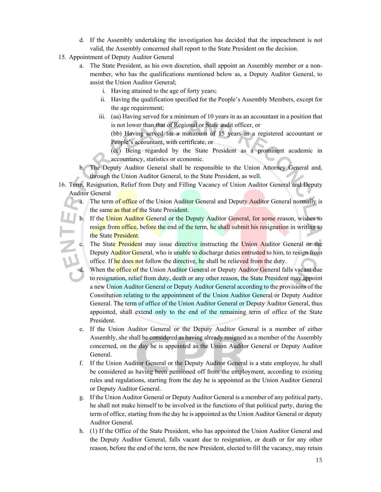- d. If the Assembly undertaking the investigation has decided that the impeachment is not valid, the Assembly concerned shall report to the State President on the decision.
- 15. Appointment of Deputy Auditor General
	- a. The State President, as his own discretion, shall appoint an Assembly member or a nonmember, who has the qualifications mentioned below as, a Deputy Auditor General, to assist the Union Auditor General;
		- i. Having attained to the age of forty years;
		- ii. Having the qualification specified for the People's Assembly Members, except for the age requirement;
		- iii. (aa) Having served for a minimum of 10 years in as an accountant in a position that is not lower than that of Regional or State audit officer, or

(bb) Having served for a minimum of 15 years as a registered accountant or People's accountant, with certificate, or

(cc) Being regarded by the State President as a prominent academic in accountancy, statistics or economic.

- b. The Deputy Auditor General shall be responsible to the Union Attorney General and, through the Union Auditor General, to the State President, as well.
- 16. Term, Resignation, Relief from Duty and Filling Vacancy of Union Auditor General and Deputy Auditor General

a. The term of office of the Union Auditor General and Deputy Auditor General normally is the same as that of the State President.

- b. If the Union Auditor General or the Deputy Auditor General, for some reason, wishes to resign from office, before the end of the term, he shall submit his resignation in writing to the State President.
	- The State President may issue directive instructing the Union Auditor General or the Deputy Auditor General, who is unable to discharge duties entrusted to him, to resign from office. If he does not follow the directive, he shall be relieved from the duty.

When the office of the Union Auditor General or Deputy Auditor General falls vacant due to resignation, relief from duty, death or any other reason, the State President may appoint a new Union Auditor General or Deputy Auditor General according to the provisions of the Constitution relating to the appointment of the Union Auditor General or Deputy Auditor General. The term of office of the Union Auditor General or Deputy Auditor General, thus appointed, shall extend only to the end of the remaining term of office of the State President.

- e. If the Union Auditor General or the Deputy Auditor General is a member of either Assembly, she shall be considered as having already resigned as a member of the Assembly concerned, on the day he is appointed as the Union Auditor General or Deputy Auditor General.
- f. If the Union Auditor General or the Deputy Auditor General is a state employee, he shall be considered as having been pensioned off from the employment, according to existing rules and regulations, starting from the day he is appointed as the Union Auditor General or Deputy Auditor General.
- g. If the Union Auditor General or Deputy Auditor General is a member of any political party, he shall not make himself to be involved in the functions of that political party, during the term of office, starting from the day he is appointed as the Union Auditor General or deputy Auditor General.
- h. (1) If the Office of the State President, who has appointed the Union Auditor General and the Deputy Auditor General, falls vacant due to resignation, or death or for any other reason, before the end of the term, the new President, elected to fill the vacancy, may retain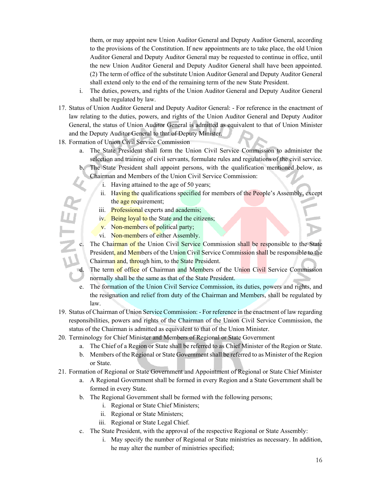them, or may appoint new Union Auditor General and Deputy Auditor General, according to the provisions of the Constitution. If new appointments are to take place, the old Union Auditor General and Deputy Auditor General may be requested to continue in office, until the new Union Auditor General and Deputy Auditor General shall have been appointed. (2) The term of office of the substitute Union Auditor General and Deputy Auditor General shall extend only to the end of the remaining term of the new State President.

- i. The duties, powers, and rights of the Union Auditor General and Deputy Auditor General shall be regulated by law.
- 17. Status of Union Auditor General and Deputy Auditor General: For reference in the enactment of law relating to the duties, powers, and rights of the Union Auditor General and Deputy Auditor General, the status of Union Auditor General is admitted as equivalent to that of Union Minister and the Deputy Auditor General to that of Deputy Minister.
- 18. Formation of Union Civil Service Commission
	- a. The State President shall form the Union Civil Service Commission to administer the selection and training of civil servants, formulate rules and regulations of the civil service.
	- b. The State President shall appoint persons, with the qualification mentioned below, as Chairman and Members of the Union Civil Service Commission:
		- i. Having attained to the age of 50 years;
		- ii. Having the qualifications specified for members of the People's Assembly, except the age requirement;
		- iii. Professional experts and academis;
		- iv. Being loyal to the State and the citizens;
		- v. Non-members of political party;
		- vi. Non-members of either Assembly.
		- The Chairman of the Union Civil Service Commission shall be responsible to the State President, and Members of the Union Civil Service Commission shall be responsible to the Chairman and, through him, to the State President.
	- The term of office of Chairman and Members of the Union Civil Service Commission normally shall be the same as that of the State President.
	- e. The formation of the Union Civil Service Commission, its duties, powers and rights, and the resignation and relief from duty of the Chairman and Members, shall be regulated by law.
- 19. Status of Chairman of Union Service Commission: For reference in the enactment of law regarding responsibilities, powers and rights of the Chairman of the Union Civil Service Commission, the status of the Chairman is admitted as equivalent to that of the Union Minister.
- 20. Terminology for Chief Minister and Members of Regional or State Government
	- a. The Chief of a Region or State shall be referred to as Chief Minister of the Region or State.
	- b. Members of the Regional or State Government shall be referred to as Minister of the Region or State.
- 21. Formation of Regional or State Government and Appointment of Regional or State Chief Minister
	- a. A Regional Government shall be formed in every Region and a State Government shall be formed in every State.
	- b. The Regional Government shall be formed with the following persons;
		- i. Regional or State Chief Ministers;
		- ii. Regional or State Ministers;
		- iii. Regional or State Legal Chief.
	- c. The State President, with the approval of the respective Regional or State Assembly:
		- i. May specify the number of Regional or State ministries as necessary. In addition, he may alter the number of ministries specified;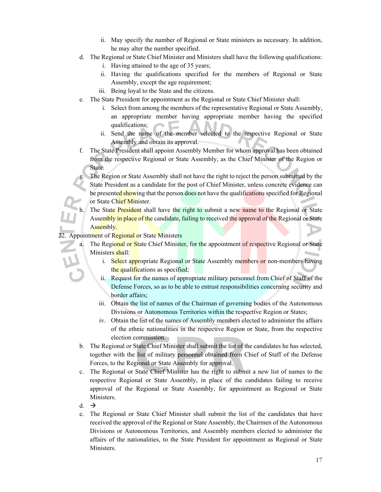- ii. May specify the number of Regional or State ministers as necessary. In addition, he may alter the number specified.
- d. The Regional or State Chief Minister and Ministers shall have the following qualifications:
	- i. Having attained to the age of 35 years;
	- ii. Having the qualifications specified for the members of Regional or State Assembly, except the age requirement;
	- iii. Being loyal to the State and the citizens.
- e. The State President for appointment as the Regional or State Chief Minister shall:
	- i. Select from among the members of the representative Regional or State Assembly, an appropriate member having appropriate member having the specified qualifications;
	- ii. Send the name of the member selected to the respective Regional or State Assembly and obtain its approval.
- f. The State President shall appoint Assembly Member for whom approval has been obtained from the respective Regional or State Assembly, as the Chief Minister of the Region or State.

The Region or State Assembly shall not have the right to reject the person submitted by the State President as a candidate for the post of Chief Minister, unless concrete evidence can be presented showing that the person does not have the qualifications specified for Regional or State Chief Minister.

h. The State President shall have the right to submit a new name to the Regional or State Assembly in place of the candidate, failing to received the approval of the Regional or State Assembly.

22. Appointment of Regional or State Ministers

a. The Regional or State Chief Minister, for the appointment of respective Regional or State Ministers shall:

- i. Select appropriate Regional or State Assembly members or non-members having the qualifications as specified;
- ii. Request for the names of appropriate military personnel from Chief of Staff of the Defense Forces, so as to be able to entrust responsibilities concerning security and border affairs;
- iii. Obtain the list of names of the Chairman of governing bodies of the Autonomous Divisions or Autonomous Territories within the respective Region or States;
- iv. Obtain the list of the names of Assembly members elected to administer the affairs of the ethnic nationalities in the respective Region or State, from the respective election commission.
- b. The Regional or State Chief Minister shall submit the list of the candidates he has selected, together with the list of military personnel obtained from Chief of Staff of the Defense Forces, to the Regional or State Assembly for approval.
- c. The Regional or State Chief Minister has the right to submit a new list of names to the respective Regional or State Assembly, in place of the candidates failing to receive approval of the Regional or State Assembly, for appointment as Regional or State Ministers.
- d.  $\rightarrow$
- e. The Regional or State Chief Minister shall submit the list of the candidates that have received the approval of the Regional or State Assembly, the Chairmen of the Autonomous Divisions or Autonomous Territories, and Assembly members elected to administer the affairs of the nationalities, to the State President for appointment as Regional or State Ministers.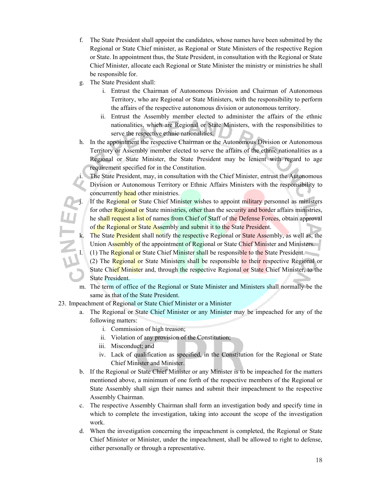- f. The State President shall appoint the candidates, whose names have been submitted by the Regional or State Chief minister, as Regional or State Ministers of the respective Region or State. In appointment thus, the State President, in consultation with the Regional or State Chief Minister, allocate each Regional or State Minister the ministry or ministries he shall be responsible for.
- g. The State President shall:
	- i. Entrust the Chairman of Autonomous Division and Chairman of Autonomous Territory, who are Regional or State Ministers, with the responsibility to perform the affairs of the respective autonomous division or autonomous territory.
	- ii. Entrust the Assembly member elected to administer the affairs of the ethnic nationalities, which are Regional or State Ministers, with the responsibilities to serve the respective ethnic nationalities.
- h. In the appointment the respective Chairman or the Autonomous Division or Autonomous Territory or Assembly member elected to serve the affairs of the ethnic nationalities as a Regional or State Minister, the State President may be lenient with regard to age requirement specified for in the Constitution.

The State President, may, in consultation with the Chief Minister, entrust the Autonomous Division or Autonomous Territory or Ethnic Affairs Ministers with the responsibility to concurrently head other ministries.

If the Regional or State Chief Minister wishes to appoint military personnel as ministers for other Regional or State ministries, other than the security and border affairs ministries, he shall request a list of names from Chief of Staff of the Defense Forces, obtain approval of the Regional or State Assembly and submit it to the State President.

- The State President shall notify the respective Regional or State Assembly, as well as, the Union Assembly of the appointment of Regional or State Chief Minister and Ministers.
- (1) The Regional or State Chief Minister shall be responsible to the State President.
	- (2) The Regional or State Ministers shall be responsible to their respective Regional or State Chief Minister and, through the respective Regional or State Chief Minister, to the State President.
- m. The term of office of the Regional or State Minister and Ministers shall normally be the same as that of the State President.
- 23. Impeachment of Regional or State Chief Minister or a Minister
	- a. The Regional or State Chief Minister or any Minister may be impeached for any of the following matters:
		- i. Commission of high treason;
		- ii. Violation of any provision of the Constitution;
		- iii. Misconduct; and
		- iv. Lack of qualification as specified, in the Constitution for the Regional or State Chief Minister and Minister.
	- b. If the Regional or State Chief Minister or any Minister is to be impeached for the matters mentioned above, a minimum of one forth of the respective members of the Regional or State Assembly shall sign their names and submit their impeachment to the respective Assembly Chairman.
	- c. The respective Assembly Chairman shall form an investigation body and specify time in which to complete the investigation, taking into account the scope of the investigation work.
	- d. When the investigation concerning the impeachment is completed, the Regional or State Chief Minister or Minister, under the impeachment, shall be allowed to right to defense, either personally or through a representative.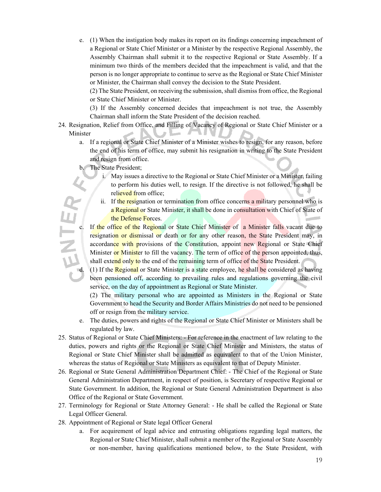e. (1) When the instigation body makes its report on its findings concerning impeachment of a Regional or State Chief Minister or a Minister by the respective Regional Assembly, the Assembly Chairman shall submit it to the respective Regional or State Assembly. If a minimum two thirds of the members decided that the impeachment is valid, and that the person is no longer appropriate to continue to serve as the Regional or State Chief Minister or Minister, the Chairman shall convey the decision to the State President.

(2) The State President, on receiving the submission, shall dismiss from office, the Regional or State Chief Minister or Minister.

(3) If the Assembly concerned decides that impeachment is not true, the Assembly Chairman shall inform the State President of the decision reached.

- 24. Resignation, Relief from Office, and Filling of Vacancy of Regional or State Chief Minister or a Minister
	- a. If a regional or State Chief Minister of a Minister wishes to resign, for any reason, before the end of his term of office, may submit his resignation in writing to the State President and resign from office.
	- b. The State President;
		- i. May issues a directive to the Regional or State Chief Minister or a Minister, failing to perform his duties well, to resign. If the directive is not followed, he shall be relieved from office;
		- ii. If the resignation or termination from office concerns a military personnel who is a Regional or State Minister, it shall be done in consultation with Chief of State of the Defense Forces.
	- c. If the office of the Regional or State Chief Minister of a Minister falls vacant due to resignation or dismissal or death or for any other reason, the State President may, in accordance with provisions of the Constitution, appoint new Regional or State Chief Minister or Minister to fill the vacancy. The term of office of the person appointed, thus, shall extend only to the end of the remaining term of office of the State President.

d. (1) If the Regional or State Minister is a state employee, he shall be considered as having been pensioned off, according to prevailing rules and regulations governing the civil service, on the day of appointment as Regional or State Minister.

(2) The military personal who are appointed as Ministers in the Regional or State Government to head the Security and Border Affairs Ministries do not need to be pensioned off or resign from the military service.

- e. The duties, powers and rights of the Regional or State Chief Minister or Ministers shall be regulated by law.
- 25. Status of Regional or State Chief Ministers: For reference in the enactment of law relating to the duties, powers and rights or the Regional or State Chief Minister and Ministers, the status of Regional or State Chief Minister shall be admitted as equivalent to that of the Union Minister, whereas the status of Regional or State Ministers as equivalent to that of Deputy Minister.
- 26. Regional or State General Administration Department Chief: The Chief of the Regional or State General Administration Department, in respect of position, is Secretary of respective Regional or State Government. In addition, the Regional or State General Administration Department is also Office of the Regional or State Government.
- 27. Terminology for Regional or State Attorney General: He shall be called the Regional or State Legal Officer General.
- 28. Appointment of Regional or State legal Officer General
	- a. For acquirement of legal advice and entrusting obligations regarding legal matters, the Regional or State Chief Minister, shall submit a member of the Regional or State Assembly or non-member, having qualifications mentioned below, to the State President, with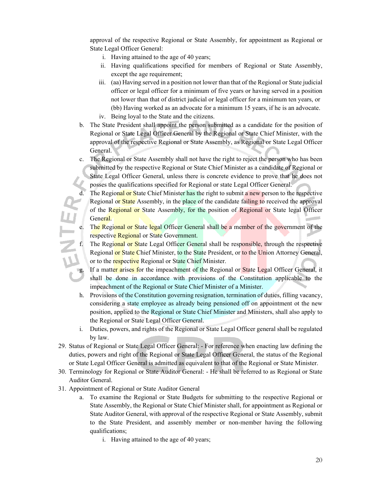approval of the respective Regional or State Assembly, for appointment as Regional or State Legal Officer General:

- i. Having attained to the age of 40 years;
- ii. Having qualifications specified for members of Regional or State Assembly, except the age requirement;
- iii. (aa) Having served in a position not lower than that of the Regional or State judicial officer or legal officer for a minimum of five years or having served in a position not lower than that of district judicial or legal officer for a minimum ten years, or (bb) Having worked as an advocate for a minimum 15 years, if he is an advocate.
- iv. Being loyal to the State and the citizens.
- b. The State President shall appoint the person submitted as a candidate for the position of Regional or State Legal Officer General by the Regional or State Chief Minister, with the approval of the respective Regional or State Assembly, as Regional or State Legal Officer General.
- c. The Regional or State Assembly shall not have the right to reject the person who has been submitted by the respective Regional or State Chief Minister as a candidate of Regional or State Legal Officer General, unless there is concrete evidence to prove that he does not posses the qualifications specified for Regional or state Legal Officer General.
	- The Regional or State Chief Minister has the right to submit a new person to the respective Regional or State Assembly, in the place of the candidate failing to received the approval of the Regional or State Assembly, for the position of Regional or State legal Officer General.
- The Regional or State legal Officer General shall be a member of the government of the respective Regional or State Government.
- The Regional or State Legal Officer General shall be responsible, through the respective Regional or State Chief Minister, to the State President, or to the Union Attorney General, or to the respective Regional or State Chief Minister.
- If a matter arises for the impeachment of the Regional or State Legal Officer General, it shall be done in accordance with provisions of the Constitution applicable to the impeachment of the Regional or State Chief Minister of a Minister.
- h. Provisions of the Constitution governing resignation, termination of duties, filling vacancy, considering a state employee as already being pensioned off on appointment ot the new position, applied to the Regional or State Chief Minister and Ministers, shall also apply to the Regional or State Legal Officer General.
- i. Duties, powers, and rights of the Regional or State Legal Officer general shall be regulated by law.
- 29. Status of Regional or State Legal Officer General: For reference when enacting law defining the duties, powers and right of the Regional or State Legal Officer General, the status of the Regional or State Legal Officer General is admitted as equivalent to that of the Regional or State Minister.
- 30. Terminology for Regional or State Auditor General: He shall be referred to as Regional or State Auditor General.
- 31. Appointment of Regional or State Auditor General
	- a. To examine the Regional or State Budgets for submitting to the respective Regional or State Assembly, the Regional or State Chief Minister shall, for appointment as Regional or State Auditor General, with approval of the respective Regional or State Assembly, submit to the State President, and assembly member or non-member having the following qualifications;
		- i. Having attained to the age of 40 years;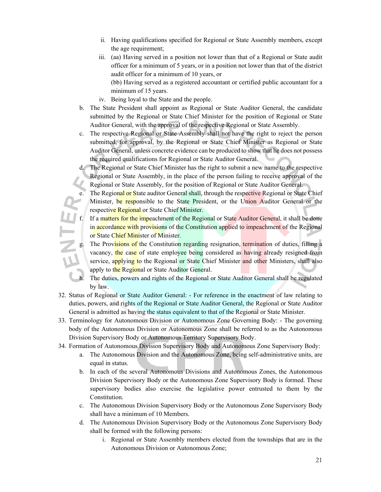- ii. Having qualifications specified for Regional or State Assembly members, except the age requirement;
- iii. (aa) Having served in a position not lower than that of a Regional or State audit officer for a minimum of 5 years, or in a position not lower than that of the district audit officer for a minimum of 10 years, or

(bb) Having served as a registered accountant or certified public accountant for a minimum of 15 years.

- iv. Being loyal to the State and the people.
- b. The State President shall appoint as Regional or State Auditor General, the candidate submitted by the Regional or State Chief Minister for the position of Regional or State Auditor General, with the approval of the respective Regional or State Assembly.
- c. The respective Regional or State Assembly shall not have the right to reject the person submitted, for approval, by the Regional or State Chief Minister as Regional or State Auditor General, unless concrete evidence can be produced to show that he does not possess the required qualifications for Regional or State Auditor General.
- d. The Regional or State Chief Minister has the right to submit a new name to the respective Regional or State Assembly, in the place of the person failing to receive approval of the Regional or State Assembly, for the position of Regional or State Auditor General.
	- The Regional or State auditor General shall, through the respective Regional or State Chief Minister, be responsible to the State President, or the Union Auditor General or the respective Regional or State Chief Minister.
- f. If a matters for the impeachment of the Regional or State Auditor General, it shall be done in accordance with provisions of the Constitution applied to impeachment of the Regional or State Chief Minister of Minister.
- The Provisions of the Constitution regarding resignation, termination of duties, filling a vacancy, the case of state employee being considered as having already resigned from service, applying to the Regional or State Chief Minister and other Ministers, shall also apply to the Regional or State Auditor General.

The duties, powers and rights of the Regional or State Auditor General shall be regulated by law.

- 32. Status of Regional or State Auditor General: For reference in the enactment of law relating to duties, powers, and rights of the Regional or State Auditor General, the Regional or State Auditor General is admitted as having the status equivalent to that of the Regional or State Minister.
- 33. Terminology for Autonomous Division or Autonomous Zone Governing Body: The governing body of the Autonomous Division or Autonomous Zone shall be referred to as the Autonomous Division Supervisory Body or Autonomous Territory Supervisory Body.
- 34. Formation of Autonomous Division Supervisory Body and Autonomous Zone Supervisory Body:
	- a. The Autonomous Division and the Autonomous Zone, being self-administrative units, are equal in status.
	- b. In each of the several Autonomous Divisions and Autonomous Zones, the Autonomous Division Supervisory Body or the Autonomous Zone Supervisory Body is formed. These supervisory bodies also exercise the legislative power entrusted to them by the Constitution.
	- c. The Autonomous Division Supervisory Body or the Autonomous Zone Supervisory Body shall have a minimum of 10 Members.
	- d. The Autonomous Division Supervisory Body or the Autonomous Zone Supervisory Body shall be formed with the following persons:
		- i. Regional or State Assembly members elected from the townships that are in the Autonomous Division or Autonomous Zone;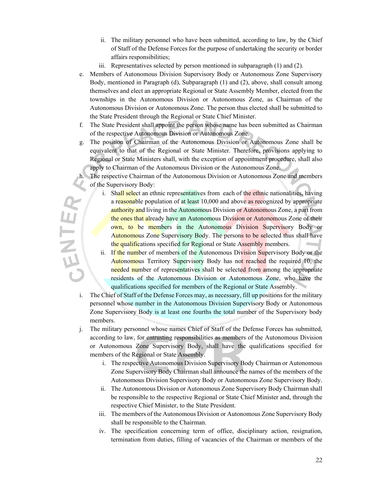- ii. The military personnel who have been submitted, according to law, by the Chief of Staff of the Defense Forces for the purpose of undertaking the security or border affairs responsibilities;
- iii. Representatives selected by person mentioned in subparagraph (1) and (2).
- e. Members of Autonomous Division Supervisory Body or Autonomous Zone Supervisory Body, mentioned in Paragraph (d), Subparagraph (1) and (2), above, shall consult among themselves and elect an appropriate Regional or State Assembly Member, elected from the townships in the Autonomous Division or Autonomous Zone, as Chairman of the Autonomous Division or Autonomous Zone. The person thus elected shall be submitted to the State President through the Regional or State Chief Minister.
- f. The State President shall appoint the person whose name has been submitted as Chairman of the respective Autonomous Division or Autonomous Zone.
- g. The position of Chairman of the Autonomous Division or Autonomous Zone shall be equivalent to that of the Regional or State Minister. Therefore, provisions applying to Regional or State Ministers shall, with the exception of appointment procedure, shall also apply to Chairman of the Autonomous Division or the Autonomous Zone.

The respective Chairman of the Autonomous Division or Autonomous Zone and members of the Supervisory Body:

- i. Shall select an ethnic representatives from each of the ethnic nationalities, having a reasonable population of at least 10,000 and above as recognized by appropriate authority and living in the Autonomous Division or Autonomous Zone, a part from the ones that already have an Autonomous Division or Autonomous Zone of their own, to be members in the Autonomous Division Supervisory Body or Autonomous Zone Supervisory Body. The persons to be selected thus shall have the qualifications specified for Regional or State Assembly members.
- ii. If the number of members of the Autonomous Division Supervisory Body or the Autonomous Territory Supervisory Body has not reached the required 10, the needed number of representatives shall be selected from among the appropriate residents of the Autonomous Division or Autonomous Zone, who have the qualifications specified for members of the Regional or State Assembly.
- i. The Chief of Staff of the Defense Forces may, as necessary, fill up positions for the military personnel whose number in the Autonomous Division Supervisory Body or Autonomous Zone Supervisory Body is at least one fourths the total number of the Supervisory body members.

**SENTEX** 

- j. The military personnel whose names Chief of Staff of the Defense Forces has submitted, according to law, for entrusting responsibilities as members of the Autonomous Division or Autonomous Zone Supervisory Body, shall have the qualifications specified for members of the Regional or State Assembly.
	- i. The respective Autonomous Division Supervisory Body Chairman or Autonomous Zone Supervisory Body Chairman shall announce the names of the members of the Autonomous Division Supervisory Body or Autonomous Zone Supervisory Body.
	- ii. The Autonomous Division or Autonomous Zone Supervisory Body Chairman shall be responsible to the respective Regional or State Chief Minister and, through the respective Chief Minister, to the State President.
	- iii. The members of the Autonomous Division or Autonomous Zone Supervisory Body shall be responsible to the Chairman.
	- iv. The specification concerning term of office, disciplinary action, resignation, termination from duties, filling of vacancies of the Chairman or members of the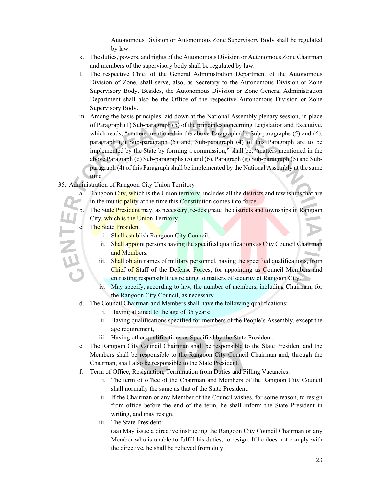Autonomous Division or Autonomous Zone Supervisory Body shall be regulated by law.

- k. The duties, powers, and rights of the Autonomous Division or Autonomous Zone Chairman and members of the supervisory body shall be regulated by law.
- l. The respective Chief of the General Administration Department of the Autonomous Division of Zone, shall serve, also, as Secretary to the Autonomous Division or Zone Supervisory Body. Besides, the Autonomous Division or Zone General Administration Department shall also be the Office of the respective Autonomous Division or Zone Supervisory Body.
- m. Among the basis principles laid down at the National Assembly plenary session, in place of Paragraph (1) Sub-paragraph (5) of the principles concerning Legislation and Executive, which reads, "matters mentioned in the above Paragraph (d), Sub-paragraphs (5) and (6), paragraph (g) Sub-paragraph (5) and, Sub-paragraph (4) of this Paragraph are to be implemented by the State by forming a commission," shall be, "matters mentioned in the above Paragraph (d) Sub-paragraphs (5) and (6), Paragraph (g) Sub-paragraph (5) and Subparagraph (4) of this Paragraph shall be implemented by the National Assembly at the same time.
- 35. Administration of Rangoon City Union Territory
	- a. Rangoon City, which is the Union territory, includes all the districts and townships that are in the municipality at the time this Constitution comes into force.
	- b. The State President may, as necessary, re-designate the districts and townships in Rangoon City, which is the Union Territory.
	- The State President:
		- i. Shall establish Rangoon City Council;
		- ii. Shall appoint persons having the specified qualifications as City Council Chairman and Members.
		- iii. Shall obtain names of military personnel, having the specified qualifications, from Chief of Staff of the Defense Forces, for appointing as Council Members and entrusting responsibilities relating to matters of security of Rangoon City.
		- iv. May specify, according to law, the number of members, including Chairman, for the Rangoon City Council, as necessary.
	- d. The Council Chairman and Members shall have the following qualifications:
		- i. Having attained to the age of 35 years;
		- ii. Having qualifications specified for members of the People's Assembly, except the age requirement,
		- iii. Having other qualifications as Specified by the State President.
	- e. The Rangoon City Council Chairman shall be responsible to the State President and the Members shall be responsible to the Rangoon City Council Chairman and, through the Chairman, shall also be responsible to the State President.
	- f. Term of Office, Resignation, Termination from Duties and Filling Vacancies:
		- i. The term of office of the Chairman and Members of the Rangoon City Council shall normally the same as that of the State President.
		- ii. If the Chairman or any Member of the Council wishes, for some reason, to resign from office before the end of the term, he shall inform the State President in writing, and may resign.
		- iii. The State President:

(aa) May issue a directive instructing the Rangoon City Council Chairman or any Member who is unable to fulfill his duties, to resign. If he does not comply with the directive, he shall be relieved from duty.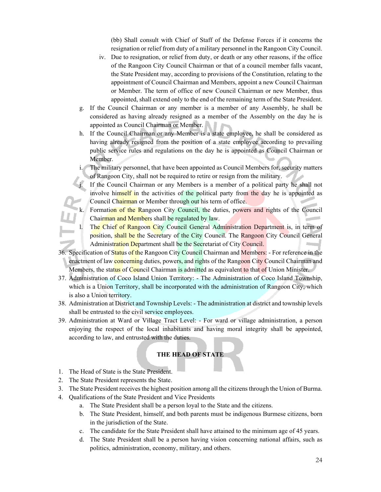(bb) Shall consult with Chief of Staff of the Defense Forces if it concerns the resignation or relief from duty of a military personnel in the Rangoon City Council.

- iv. Due to resignation, or relief from duty, or death or any other reasons, if the office of the Rangoon City Council Chairman or that of a council member falls vacant, the State President may, according to provisions of the Constitution, relating to the appointment of Council Chairman and Members, appoint a new Council Chairman or Member. The term of office of new Council Chairman or new Member, thus appointed, shall extend only to the end of the remaining term of the State President.
- g. If the Council Chairman or any member is a member of any Assembly, he shall be considered as having already resigned as a member of the Assembly on the day he is appointed as Council Chairman or Member.
- h. If the Council Chairman or any Member is a state employee, he shall be considered as having already resigned from the position of a state employee according to prevailing public service rules and regulations on the day he is appointed as Council Chairman or Member.
- The military personnel, that have been appointed as Council Members for, security matters of Rangoon City, shall not be required to retire or resign from the military.
- If the Council Chairman or any Members is a member of a political party he shall not involve himself in the activities of the political party from the day he is appointed as Council Chairman or Member through out his term of office.
- k. Formation of the Rangoon City Council, the duties, powers and rights of the Council Chairman and Members shall be regulated by law.
- l. The Chief of Rangoon City Council General Administration Department is, in term of position, shall be the Secretary of the City Council. The Rangoon City Council General Administration Department shall be the Secretariat of City Council.
- 36. Specification of Status of the Rangoon City Council Chairman and Members: For reference in the enactment of law **concerning** duties, powers, and rights of the Rangoon City Council Chairman and Members, the status of Council Chairman is admitted as equivalent to that of Union Minister.
- 37. Administration of Coco Island Union Territory: The Administration of Coco Island Township, which is a Union Territory, shall be incorporated with the administration of Rangoon City, which is also a Union territory.
- 38. Administration at District and Township Levels: The administration at district and township levels shall be entrusted to the civil service employees.
- 39. Administration at Ward or Village Tract Level: For ward or village administration, a person enjoying the respect of the local inhabitants and having moral integrity shall be appointed, according to law, and entrusted with the duties.

### **THE HEAD OF STATE**

- 1. The Head of State is the State President.
- 2. The State President represents the State.
- 3. The State President receives the highest position among all the citizens through the Union of Burma.
- 4. Qualifications of the State President and Vice Presidents
	- a. The State President shall be a person loyal to the State and the citizens.
	- b. The State President, himself, and both parents must be indigenous Burmese citizens, born in the jurisdiction of the State.
	- c. The candidate for the State President shall have attained to the minimum age of 45 years.
	- d. The State President shall be a person having vision concerning national affairs, such as politics, administration, economy, military, and others.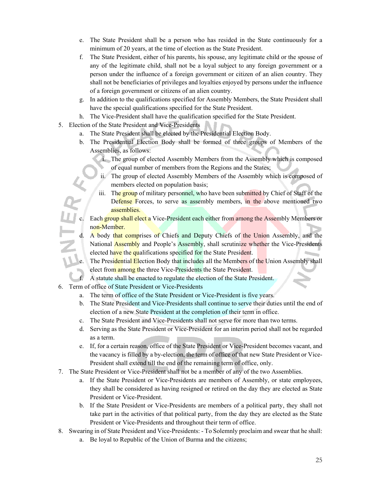- e. The State President shall be a person who has resided in the State continuously for a minimum of 20 years, at the time of election as the State President.
- f. The State President, either of his parents, his spouse, any legitimate child or the spouse of any of the legitimate child, shall not be a loyal subject to any foreign government or a person under the influence of a foreign government or citizen of an alien country. They shall not be beneficiaries of privileges and loyalties enjoyed by persons under the influence of a foreign government or citizens of an alien country.
- g. In addition to the qualifications specified for Assembly Members, the State President shall have the special qualifications specified for the State President.
- h. The Vice-President shall have the qualification specified for the State President.
- 5. Election of the State President and Vice-Presidents
	- a. The State President shall be elected by the Presidential Election Body.
	- b. The Presidential Election Body shall be formed of three groups of Members of the Assemblies, as follows:
		- i. The group of elected Assembly Members from the Assembly which is composed of equal number of members from the Regions and the States;
		- ii. The group of elected Assembly Members of the Assembly which is composed of members elected on population basis;
		- iii. The group of military personnel, who have been submitted by Chief of Staff of the Defense Forces, to serve as assembly members, in the above mentioned two assemblies.
	- Each group shall elect a Vice-President each either from among the Assembly Members or non-Member.
	- d. A body that comprises of Chiefs and Deputy Chiefs of the Union Assembly, and the National **Assembly** and People's Assembly, shall scrutinize whether the Vice-Presidents elected have the qualifications specified for the State President.
	- e. The Presidential Election Body that includes all the Members of the Union Assembly shall elect from among the three Vice-Presidents the State President.
	- f. A statute shall be enacted to regulate the election of the State President.
- 6. Term of office of State President or Vice-Presidents
	- a. The term of office of the State President or Vice-President is five years.
	- b. The State President and Vice-Presidents shall continue to serve their duties until the end of election of a new State President at the completion of their term in office.
	- c. The State President and Vice-Presidents shall not serve for more than two terms.
	- d. Serving as the State President or Vice-President for an interim period shall not be regarded as a term.
	- e. If, for a certain reason, office of the State President or Vice-President becomes vacant, and the vacancy is filled by a by-election, the term of office of that new State President or Vice-President shall extend till the end of the remaining term of office, only.
- 7. The State President or Vice-President shall not be a member of any of the two Assemblies.
	- a. If the State President or Vice-Presidents are members of Assembly, or state employees, they shall be considered as having resigned or retired on the day they are elected as State President or Vice-President.
	- b. If the State President or Vice-Presidents are members of a political party, they shall not take part in the activities of that political party, from the day they are elected as the State President or Vice-Presidents and throughout their term of office.
- 8. Swearing in of State President and Vice-Presidents: To Solemnly proclaim and swear that he shall:
	- a. Be loyal to Republic of the Union of Burma and the citizens;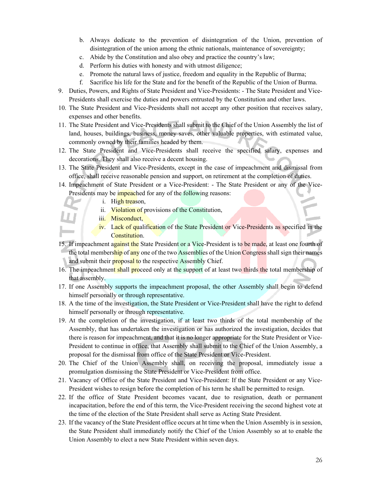- b. Always dedicate to the prevention of disintegration of the Union, prevention of disintegration of the union among the ethnic nationals, maintenance of sovereignty;
- c. Abide by the Constitution and also obey and practice the country's law;
- d. Perform his duties with honesty and with utmost diligence;
- e. Promote the natural laws of justice, freedom and equality in the Republic of Burma;
- f. Sacrifice his life for the State and for the benefit of the Republic of the Union of Burma.
- 9. Duties, Powers, and Rights of State President and Vice-Presidents: The State President and Vice-Presidents shall exercise the duties and powers entrusted by the Constitution and other laws.
- 10. The State President and Vice-Presidents shall not accept any other position that receives salary, expenses and other benefits.
- 11. The State President and Vice-Presidents shall submit to the Chief of the Union Assembly the list of land, houses, buildings, business, money saves, other valuable properties, with estimated value, commonly owned by their families headed by them.
- 12. The State President and Vice-Presidents shall receive the specified salary, expenses and decorations. They shall also receive a decent housing.
- 13. The State President and Vice-Presidents, except in the case of impeachment and dismissal from office, shall receive reasonable pension and support, on retirement at the completion of duties.
- 14. Impeachment of State President or a Vice-President: The State President or any of the Vice-Presidents may be *impeached* for any of the following reasons:
	- i. High treason,
		- ii. Violation of provisions of the Constitution,
	- iii. Misconduct,
		- iv. Lack of qualification of the State President or Vice-Presidents as specified in the Constitution.
- 15. If impeachment against the State President or a Vice-President is to be made, at least one fourth of the total membership of any one of the two Assemblies of the Union Congress shall sign their names and submit their **proposal to** the respective Assembly Chief.
- 16. The impeachment shall proceed only at the support of at least two thirds the total membership of that assembly.
- 17. If one Assembly supports the impeachment proposal, the other Assembly shall begin to defend himself personally or through representative.
- 18. A the time of the investigation, the State President or Vice-President shall have the right to defend himself personally or through representative.
- 19. At the completion of the investigation, if at least two thirds of the total membership of the Assembly, that has undertaken the investigation or has authorized the investigation, decides that there is reason for impeachment, and that it is no longer appropriate for the State President or Vice-President to continue in office, that Assembly shall submit to the Chief of the Union Assembly, a proposal for the dismissal from office of the State President or Vice-President.
- 20. The Chief of the Union Assembly shall, on receiving the proposal, immediately issue a promulgation dismissing the State President or Vice-President from office.
- 21. Vacancy of Office of the State President and Vice-President: If the State President or any Vice-President wishes to resign before the completion of his term he shall be permitted to resign.
- 22. If the office of State President becomes vacant, due to resignation, death or permanent incapacitation, before the end of this term, the Vice-President receiving the second highest vote at the time of the election of the State President shall serve as Acting State President.
- 23. If the vacancy of the State President office occurs at ht time when the Union Assembly is in session, the State President shall immediately notify the Chief of the Union Assembly so at to enable the Union Assembly to elect a new State President within seven days.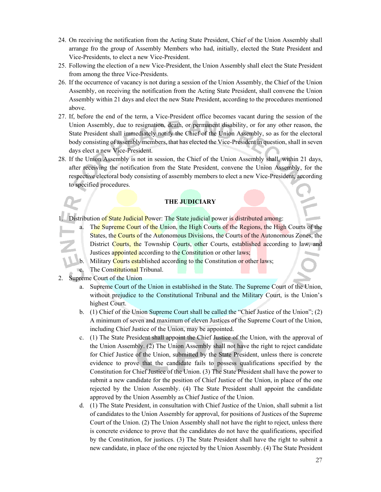- 24. On receiving the notification from the Acting State President, Chief of the Union Assembly shall arrange fro the group of Assembly Members who had, initially, elected the State President and Vice-Presidents, to elect a new Vice-President.
- 25. Following the election of a new Vice-President, the Union Assembly shall elect the State President from among the three Vice-Presidents.
- 26. If the occurrence of vacancy is not during a session of the Union Assembly, the Chief of the Union Assembly, on receiving the notification from the Acting State President, shall convene the Union Assembly within 21 days and elect the new State President, according to the procedures mentioned above.
- 27. If, before the end of the term, a Vice-President office becomes vacant during the session of the Union Assembly, due to resignation, death, or permanent disability, or for any other reason, the State President shall immediately notify the Chief of the Union Assembly, so as for the electoral body consisting of assembly members, that has elected the Vice-President in question, shall in seven days elect a new Vice-President.
- 28. If the Union Assembly is not in session, the Chief of the Union Assembly shall, within 21 days, after receiving the notification from the State President, convene the Union Assembly, for the respective electoral body consisting of assembly members to elect a new Vice-President, according to specified procedures.

# **THE JUDICIARY**

Distribution of State Judicial Power: The State judicial power is distributed among:

- a. The Supreme Court of the Union, the High Courts of the Regions, the High Courts of the States, the Courts of the Autonomous Divisions, the Courts of the Autonomous Zones, the District Courts, the Township Courts, other Courts, established according to law, and Justices appointed according to the Constitution or other laws;
- b. Military Courts established according to the Constitution or other laws;
- **C.** The Constitutional Tribunal.
- 2. Supreme Court of the Union
	- a. Supreme Court of the Union in established in the State. The Supreme Court of the Union, without prejudice to the Constitutional Tribunal and the Military Court, is the Union's highest Court.
	- b. (1) Chief of the Union Supreme Court shall be called the "Chief Justice of the Union"; (2) A minimum of seven and maximum of eleven Justices of the Supreme Court of the Union, including Chief Justice of the Union, may be appointed.
	- c. (1) The State President shall appoint the Chief Justice of the Union, with the approval of the Union Assembly. (2) The Union Assembly shall not have the right to reject candidate for Chief Justice of the Union, submitted by the State President, unless there is concrete evidence to prove that the candidate fails to possess qualifications specified by the Constitution for Chief Justice of the Union. (3) The State President shall have the power to submit a new candidate for the position of Chief Justice of the Union, in place of the one rejected by the Union Assembly. (4) The State President shall appoint the candidate approved by the Union Assembly as Chief Justice of the Union.
	- d. (1) The State President, in consultation with Chief Justice of the Union, shall submit a list of candidates to the Union Assembly for approval, for positions of Justices of the Supreme Court of the Union. (2) The Union Assembly shall not have the right to reject, unless there is concrete evidence to prove that the candidates do not have the qualifications, specified by the Constitution, for justices. (3) The State President shall have the right to submit a new candidate, in place of the one rejected by the Union Assembly. (4) The State President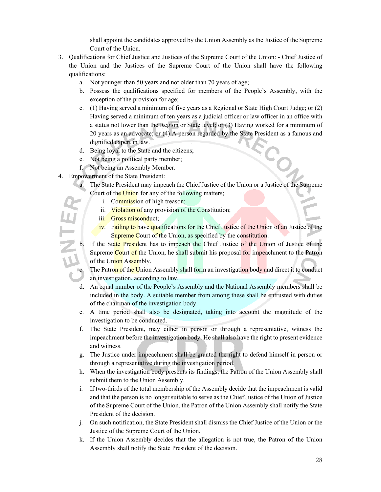shall appoint the candidates approved by the Union Assembly as the Justice of the Supreme Court of the Union.

- 3. Qualifications for Chief Justice and Justices of the Supreme Court of the Union: Chief Justice of the Union and the Justices of the Supreme Court of the Union shall have the following qualifications:
	- a. Not younger than 50 years and not older than 70 years of age;
	- b. Possess the qualifications specified for members of the People's Assembly, with the exception of the provision for age;
	- c. (1) Having served a minimum of five years as a Regional or State High Court Judge; or (2) Having served a minimum of ten years as a judicial officer or law officer in an office with a status not lower than the Region or State level; or (3) Having worked for a minimum of 20 years as an advocate; or (4) A person regarded by the State President as a famous and dignified expert in law.
	- d. Being loyal to the State and the citizens;
	- e. Not being a political party member;
	- f. Not being an Assembly Member.
- 4. Empowerment of the State President:
	- a. The State President may impeach the Chief Justice of the Union or a Justice of the Supreme Court of the Union for any of the following matters;
		- i. Commission of high treason;
		- ii. Violation of any provision of the Constitution;
		- iii. Gross misconduct;
		- iv. Failing to have qualifications for the Chief Justice of the Union of an Justice of the Supreme Court of the Union, as specified by the constitution.
	- b. If the State President has to impeach the Chief Justice of the Union of Justice of the Supreme Court of the Union, he shall submit his proposal for impeachment to the Patron of the Union Assembly.

The Patron of the Union Assembly shall form an investigation body and direct it to conduct an investigation, according to law.

- d. An equal number of the People's Assembly and the National Assembly members shall be included in the body. A suitable member from among these shall be entrusted with duties of the chairman of the investigation body.
- e. A time period shall also be designated, taking into account the magnitude of the investigation to be conducted.
- f. The State President, may either in person or through a representative, witness the impeachment before the investigation body. He shall also have the right to present evidence and witness.
- g. The Justice under impeachment shall be granted the right to defend himself in person or through a representative during the investigation period.
- h. When the investigation body presents its findings, the Patron of the Union Assembly shall submit them to the Union Assembly.
- i. If two-thirds of the total membership of the Assembly decide that the impeachment is valid and that the person is no longer suitable to serve as the Chief Justice of the Union of Justice of the Supreme Court of the Union, the Patron of the Union Assembly shall notify the State President of the decision.
- j. On such notification, the State President shall dismiss the Chief Justice of the Union or the Justice of the Supreme Court of the Union.
- k. If the Union Assembly decides that the allegation is not true, the Patron of the Union Assembly shall notify the State President of the decision.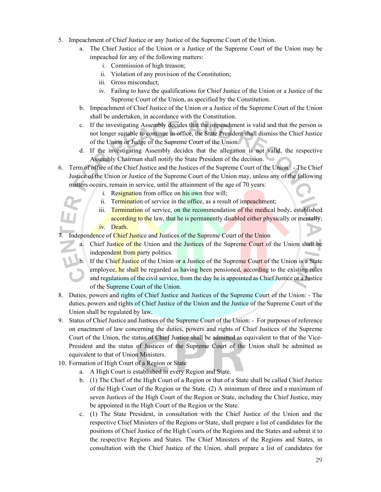- 5. Impeachment of Chief Justice or any Justice of the Supreme Court of the Union.
	- a. The Chief Justice of the Union or a Justice of the Supreme Court of the Union may be impeached for any of the following matters:
		- i. Commission of high treason;
		- ii. Violation of any provision of the Constitution;
		- iii. Gross misconduct;
		- iv. Failing to have the qualifications for Chief Justice of the Union or a Justice of the Supreme Court of the Union, as specified by the Constitution.
	- b. Impeachment of Chief Justice of the Union or a Justice of the Supreme Court of the Union shall be undertaken, in accordance with the Constitution.
	- c. If the investigating Assembly decides that the impeachment is valid and that the person is not longer suitable to continue in office, the State President shall dismiss the Chief Justice of the Union or Judge of the Supreme Court of the Union.
	- d. If the investigating Assembly decides that the allegation is not valid, the respective Assembly Chairman shall notify the State President of the decision.
- 6. Term of office of the Chief Justice and the Justices of the Supreme Court of the Union.: The Chief Justice of the Union or Justice of the Supreme Court of the Union may, unless any of the following matters occurs, remain in service, until the attainment of the age of 70 years:
	- i. Resignation from office on his own free will;
	- ii. Termination of service in the office, as a result of impeachment;
	- iii. Termination of service, on the recommendation of the medical body, established according to the law, that he is permanently disabled either physically or mentally; iv. Death.

Independence of Chief Justice and Justices of the Supreme Court of the Union

- a. Chief Justice of the Union and the Justices of the Supreme Court of the Union shall be independent from party politics.
- b. If the Chief Justice of the Union or a Justice of the Supreme Court of the Union is a State employee, he shall be regarded as having been pensioned, according to the existing rules and regulations of the civil service, from the day he is appointed as Chief Justice or a Justice of the Supreme Court of the Union.
- 8. Duties, powers and rights of Chief Justice and Justices of the Supreme Court of the Union: The duties, powers and rights of Chief Justice of the Union and the Justice of the Supreme Court of the Union shall be regulated by law.
- 9. Status of Chief Justice and Justices of the Supreme Court of the Union: For purposes of reference on enactment of law concerning the duties, powers and rights of Chief Justices of the Supreme Court of the Union, the status of Chief Justice shall be admitted as equivalent to that of the Vice-President and the status of Justices of the Supreme Court of the Union shall be admitted as equivalent to that of Union Ministers.
- 10. Formation of High Court of a Region or State
	- a. A High Court is established in every Region and State.
	- b. (1) The Chief of the High Court of a Region or that of a State shall be called Chief Justice of the High Court of the Region or the State. (2) A minimum of three and a maximum of seven Justices of the High Court of the Region or State, including the Chief Justice, may be appointed in the High Court of the Region or the State.
	- c. (1) The State President, in consultation with the Chief Justice of the Union and the respective Chief Ministers of the Regions or State, shall prepare a list of candidates for the positions of Chief Justice of the High Courts of the Regions and the States and submit it to the respective Regions and States. The Chief Ministers of the Regions and States, in consultation with the Chief Justice of the Union, shall prepare a list of candidates for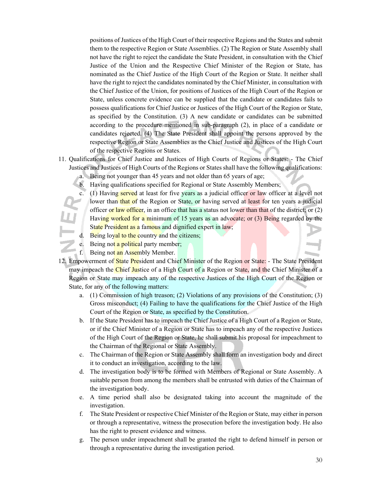positions of Justices of the High Court of their respective Regions and the States and submit them to the respective Region or State Assemblies. (2) The Region or State Assembly shall not have the right to reject the candidate the State President, in consultation with the Chief Justice of the Union and the Respective Chief Minister of the Region or State, has nominated as the Chief Justice of the High Court of the Region or State. It neither shall have the right to reject the candidates nominated by the Chief Minister, in consultation with the Chief Justice of the Union, for positions of Justices of the High Court of the Region or State, unless concrete evidence can be supplied that the candidate or candidates fails to possess qualifications for Chief Justice or Justices of the High Court of the Region or State, as specified by the Constitution. (3) A new candidate or candidates can be submitted according to the procedure mentioned in sub-paragraph (2), in place of a candidate or candidates rejected. (4) The State President shall appoint the persons approved by the respective Region or State Assemblies as the Chief Justice and Justices of the High Court of the respective Regions or States.

- 11. Qualifications for Chief Justice and Justices of High Courts of Regions or States: The Chief Justices and Justices of High Courts of the Regions or States shall have the following qualifications:
	- a. Being not younger than 45 years and not older than 65 years of age;
	- b. Having qualifications specified for Regional or State Assembly Members;
	- c. (1) Having served at least for five years as a judicial officer or law officer at a level not lower than that of the Region or State, or having served at least for ten years a judicial officer or law officer, in an office that has a status not lower than that of the district; or  $(2)$ Having worked for a minimum of 15 years as an advocate; or (3) Being regarded by the State President as a famous and dignified expert in law;
	- d. Being loyal to the country and the citizens;
	- e. Being not a political party member;
	- f. Being not an Assembly Member.
- 12. Empowerment of State President and Chief Minister of the Region or State: The State President may impeach the Chief Justice of a High Court of a Region or State, and the Chief Minister of a Region or State may impeach any of the respective Justices of the High Court of the Region or State, for any of the following matters:
	- a. (1) Commission of high treason; (2) Violations of any provisions of the Constitution; (3) Gross misconduct; (4) Failing to have the qualifications for the Chief Justice of the High Court of the Region or State, as specified by the Constitution.
	- b. If the State President has to impeach the Chief Justice of a High Court of a Region or State, or if the Chief Minister of a Region or State has to impeach any of the respective Justices of the High Court of the Region or State, he shall submit his proposal for impeachment to the Chairman of the Regional or State Assembly.
	- c. The Chairman of the Region or State Assembly shall form an investigation body and direct it to conduct an investigation, according to the law.
	- d. The investigation body is to be formed with Members of Regional or State Assembly. A suitable person from among the members shall be entrusted with duties of the Chairman of the investigation body.
	- e. A time period shall also be designated taking into account the magnitude of the investigation.
	- f. The State President or respective Chief Minister of the Region or State, may either in person or through a representative, witness the prosecution before the investigation body. He also has the right to present evidence and witness.
	- g. The person under impeachment shall be granted the right to defend himself in person or through a representative during the investigation period.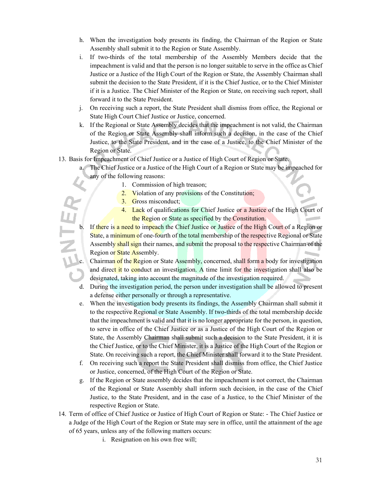- h. When the investigation body presents its finding, the Chairman of the Region or State Assembly shall submit it to the Region or State Assembly.
- i. If two-thirds of the total membership of the Assembly Members decide that the impeachment is valid and that the person is no longer suitable to serve in the office as Chief Justice or a Justice of the High Court of the Region or State, the Assembly Chairman shall submit the decision to the State President, if it is the Chief Justice, or to the Chief Minister if it is a Justice. The Chief Minister of the Region or State, on receiving such report, shall forward it to the State President.
- j. On receiving such a report, the State President shall dismiss from office, the Regional or State High Court Chief Justice or Justice, concerned.
- k. If the Regional or State Assembly decides that the impeachment is not valid, the Chairman of the Region or State Assembly shall inform such a decision, in the case of the Chief Justice, to the State President, and in the case of a Justice, to the Chief Minister of the Region or State.
- 13. Basis for Impeachment of Chief Justice or a Justice of High Court of Region or State.
	- The Chief Justice or a Justice of the High Court of a Region or State may be impeached for any of the following reasons:
		- 1. Commission of high treason;
		- 2. Violation of any provisions of the Constitution;
		- 3. Gross misconduct;
		- 4. Lack of qualifications for Chief Justice or a Justice of the High Court of the Region or State as specified by the Constitution.
	- b. If there is a need to impeach the Chief Justice or Justice of the High Court of a Region or State, a minimum of one-fourth of the total membership of the respective Regional or State Assembly shall sign their names, and submit the proposal to the respective Chairman of the Region or State Assembly.
		- Chairman of the Region or State Assembly, concerned, shall form a body for investigation and direct it to conduct an investigation. A time limit for the investigation shall also be designated, taking into account the magnitude of the investigation required.
	- d. During the investigation period, the person under investigation shall be allowed to present a defense either personally or through a representative.
	- e. When the investigation body presents its findings, the Assembly Chairman shall submit it to the respective Regional or State Assembly. If two-thirds of the total membership decide that the impeachment is valid and that it is no longer appropriate for the person, in question, to serve in office of the Chief Justice or as a Justice of the High Court of the Region or State, the Assembly Chairman shall submit such a decision to the State President, it it is the Chief Justice, or to the Chief Minister, it is a Justice of the High Court of the Region or State. On receiving such a report, the Chief Minister shall forward it to the State President.
	- f. On receiving such a report the State President shall dismiss from office, the Chief Justice or Justice, concerned, of the High Court of the Region or State.
	- g. If the Region or State assembly decides that the impeachment is not correct, the Chairman of the Regional or State Assembly shall inform such decision, in the case of the Chief Justice, to the State President, and in the case of a Justice, to the Chief Minister of the respective Region or State.
- 14. Term of office of Chief Justice or Justice of High Court of Region or State: The Chief Justice or a Judge of the High Court of the Region or State may sere in office, until the attainment of the age of 65 years, unless any of the following matters occurs:
	- i. Resignation on his own free will;